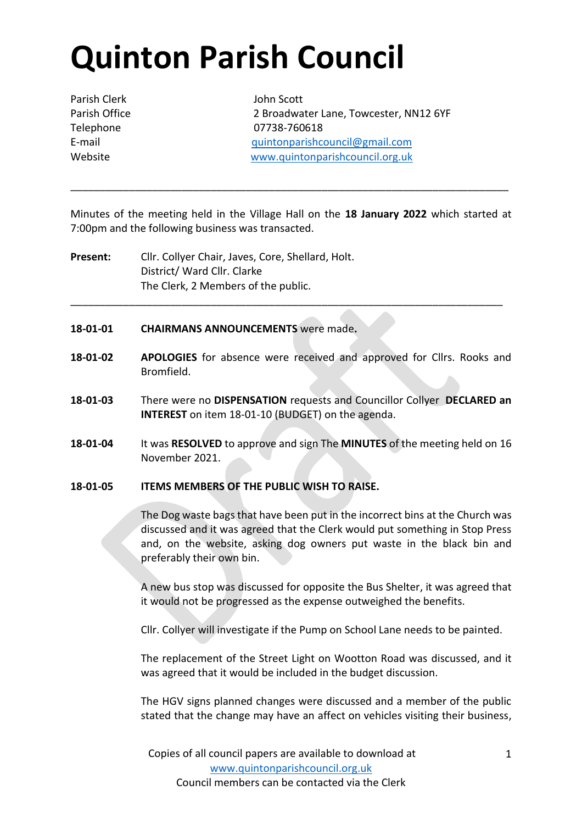# **Quinton Parish Council**

Parish Clerk John Scott

Parish Office 2 Broadwater Lane, Towcester, NN12 6YF Telephone 07738-760618 E-mail [quintonparishcouncil@gmail.com](mailto:quintonparishcouncil@gmail.com) Website [www.quintonparishcouncil.org.uk](http://www.quintonparishcouncil.org.uk/)

Minutes of the meeting held in the Village Hall on the **18 January 2022** which started at 7:00pm and the following business was transacted.

\_\_\_\_\_\_\_\_\_\_\_\_\_\_\_\_\_\_\_\_\_\_\_\_\_\_\_\_\_\_\_\_\_\_\_\_\_\_\_\_\_\_\_\_\_\_\_\_\_\_\_\_\_\_\_\_\_\_\_\_\_\_\_\_\_\_\_\_\_\_\_\_\_\_\_

**Present:** Cllr. Collyer Chair, Javes, Core, Shellard, Holt. District/ Ward Cllr. Clarke The Clerk, 2 Members of the public.

#### **18-01-01 CHAIRMANS ANNOUNCEMENTS** were made**.**

**18-01-02 APOLOGIES** for absence were received and approved for Cllrs. Rooks and Bromfield.

\_\_\_\_\_\_\_\_\_\_\_\_\_\_\_\_\_\_\_\_\_\_\_\_\_\_\_\_\_\_\_\_\_\_\_\_\_\_\_\_\_\_\_\_\_\_\_\_\_\_\_\_\_\_\_\_\_\_\_\_\_\_\_\_\_\_\_\_\_\_\_\_\_\_

- **18-01-03** There were no **DISPENSATION** requests and Councillor Collyer **DECLARED an INTEREST** on item 18-01-10 (BUDGET) on the agenda.
- **18-01-04** It was **RESOLVED** to approve and sign The **MINUTES** of the meeting held on 16 November 2021.

#### **18-01-05 ITEMS MEMBERS OF THE PUBLIC WISH TO RAISE.**

The Dog waste bags that have been put in the incorrect bins at the Church was discussed and it was agreed that the Clerk would put something in Stop Press and, on the website, asking dog owners put waste in the black bin and preferably their own bin.

A new bus stop was discussed for opposite the Bus Shelter, it was agreed that it would not be progressed as the expense outweighed the benefits.

Cllr. Collyer will investigate if the Pump on School Lane needs to be painted.

The replacement of the Street Light on Wootton Road was discussed, and it was agreed that it would be included in the budget discussion.

The HGV signs planned changes were discussed and a member of the public stated that the change may have an affect on vehicles visiting their business,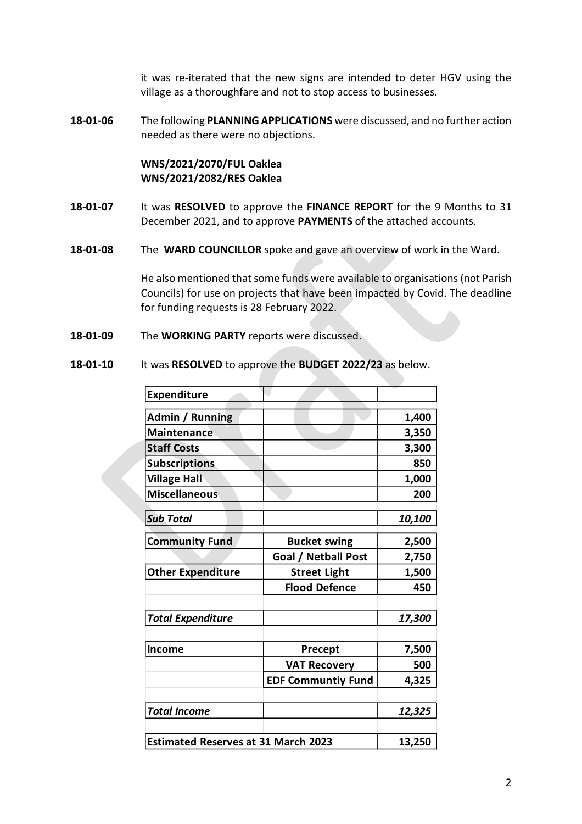it was re-iterated that the new signs are intended to deter HGV using the village as a thoroughfare and not to stop access to businesses.

**18-01-06** The following **PLANNING APPLICATIONS** were discussed, and no further action needed as there were no objections.

# **WNS/2021/2070/FUL Oaklea WNS/2021/2082/RES Oaklea**

- **18-01-07** It was **RESOLVED** to approve the **FINANCE REPORT** for the 9 Months to 31 December 2021, and to approve **PAYMENTS** of the attached accounts.
- **18-01-08** The **WARD COUNCILLOR** spoke and gave an overview of work in the Ward.

He also mentioned that some funds were available to organisations (not Parish Councils) for use on projects that have been impacted by Covid. The deadline for funding requests is 28 February 2022.

- **18-01-09** The **WORKING PARTY** reports were discussed.
- **18-01-10** It was **RESOLVED** to approve the **BUDGET 2022/23** as below.

| <b>Expenditure</b>                         |                           |        |
|--------------------------------------------|---------------------------|--------|
| Admin / Running                            |                           | 1,400  |
| <b>Maintenance</b>                         |                           | 3,350  |
| <b>Staff Costs</b>                         |                           | 3,300  |
| <b>Subscriptions</b>                       |                           | 850    |
| <b>Village Hall</b>                        |                           | 1,000  |
| <b>Miscellaneous</b>                       |                           | 200    |
|                                            |                           |        |
| <b>Sub Total</b>                           |                           | 10,100 |
| <b>Community Fund</b>                      | <b>Bucket swing</b>       | 2,500  |
|                                            | Goal / Netball Post       | 2,750  |
| <b>Other Expenditure</b>                   | <b>Street Light</b>       | 1,500  |
|                                            | <b>Flood Defence</b>      | 450    |
|                                            |                           |        |
| <b>Total Expenditure</b>                   |                           | 17,300 |
|                                            |                           |        |
| <b>Income</b>                              | <b>Precept</b>            | 7,500  |
|                                            | <b>VAT Recovery</b>       | 500    |
|                                            | <b>EDF Communtiy Fund</b> | 4,325  |
|                                            |                           |        |
| <b>Total Income</b>                        |                           | 12,325 |
|                                            |                           |        |
| <b>Estimated Reserves at 31 March 2023</b> | 13,250                    |        |